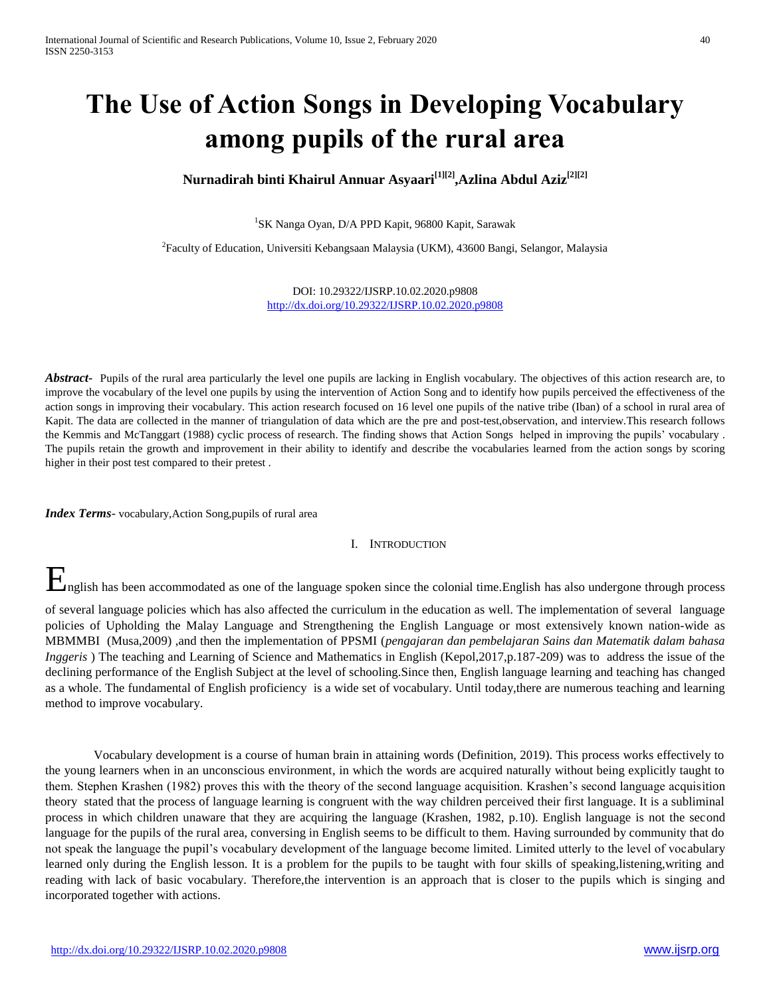# **The Use of Action Songs in Developing Vocabulary among pupils of the rural area**

# **Nurnadirah binti Khairul Annuar Asyaari[1][2] ,Azlina Abdul Aziz[2][2]**

1 SK Nanga Oyan, D/A PPD Kapit, 96800 Kapit, Sarawak

<sup>2</sup> Faculty of Education, Universiti Kebangsaan Malaysia (UKM), 43600 Bangi, Selangor, Malaysia

DOI: 10.29322/IJSRP.10.02.2020.p9808 <http://dx.doi.org/10.29322/IJSRP.10.02.2020.p9808>

*Abstract* Pupils of the rural area particularly the level one pupils are lacking in English vocabulary. The objectives of this action research are, to improve the vocabulary of the level one pupils by using the intervention of Action Song and to identify how pupils perceived the effectiveness of the action songs in improving their vocabulary. This action research focused on 16 level one pupils of the native tribe (Iban) of a school in rural area of Kapit. The data are collected in the manner of triangulation of data which are the pre and post-test,observation, and interview.This research follows the Kemmis and McTanggart (1988) cyclic process of research. The finding shows that Action Songs helped in improving the pupils' vocabulary . The pupils retain the growth and improvement in their ability to identify and describe the vocabularies learned from the action songs by scoring higher in their post test compared to their pretest .

*Index Terms*- vocabulary,Action Song,pupils of rural area

# I. INTRODUCTION

**E**nglish has been accommodated as one of the language spoken since the colonial time.English has also undergone through process

of several language policies which has also affected the curriculum in the education as well. The implementation of several language policies of Upholding the Malay Language and Strengthening the English Language or most extensively known nation-wide as MBMMBI (Musa,2009) ,and then the implementation of PPSMI (*pengajaran dan pembelajaran Sains dan Matematik dalam bahasa Inggeris*) The teaching and Learning of Science and Mathematics in English (Kepol, 2017, p.187-209) was to address the issue of the declining performance of the English Subject at the level of schooling.Since then, English language learning and teaching has changed as a whole. The fundamental of English proficiency is a wide set of vocabulary. Until today,there are numerous teaching and learning method to improve vocabulary.

Vocabulary development is a course of human brain in attaining words (Definition, 2019). This process works effectively to the young learners when in an unconscious environment, in which the words are acquired naturally without being explicitly taught to them. Stephen Krashen (1982) proves this with the theory of the second language acquisition. Krashen's second language acquisition theory stated that the process of language learning is congruent with the way children perceived their first language. It is a subliminal process in which children unaware that they are acquiring the language (Krashen, 1982, p.10). English language is not the second language for the pupils of the rural area, conversing in English seems to be difficult to them. Having surrounded by community that do not speak the language the pupil's vocabulary development of the language become limited. Limited utterly to the level of vocabulary learned only during the English lesson. It is a problem for the pupils to be taught with four skills of speaking,listening,writing and reading with lack of basic vocabulary. Therefore,the intervention is an approach that is closer to the pupils which is singing and incorporated together with actions.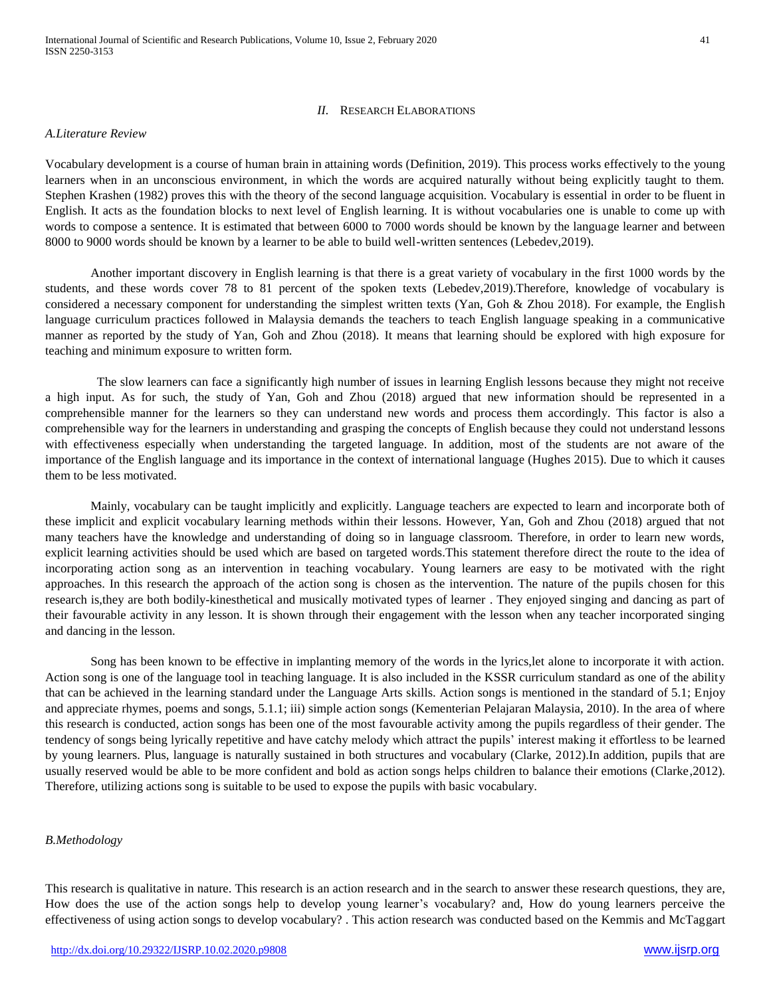### *II.* RESEARCH ELABORATIONS

#### *A.Literature Review*

Vocabulary development is a course of human brain in attaining words (Definition, 2019). This process works effectively to the young learners when in an unconscious environment, in which the words are acquired naturally without being explicitly taught to them. Stephen Krashen (1982) proves this with the theory of the second language acquisition. Vocabulary is essential in order to be fluent in English. It acts as the foundation blocks to next level of English learning. It is without vocabularies one is unable to come up with words to compose a sentence. It is estimated that between 6000 to 7000 words should be known by the language learner and between 8000 to 9000 words should be known by a learner to be able to build well-written sentences (Lebedev,2019).

Another important discovery in English learning is that there is a great variety of vocabulary in the first 1000 words by the students, and these words cover 78 to 81 percent of the spoken texts (Lebedev,2019).Therefore, knowledge of vocabulary is considered a necessary component for understanding the simplest written texts (Yan, Goh & Zhou 2018). For example, the English language curriculum practices followed in Malaysia demands the teachers to teach English language speaking in a communicative manner as reported by the study of Yan, Goh and Zhou (2018). It means that learning should be explored with high exposure for teaching and minimum exposure to written form.

 The slow learners can face a significantly high number of issues in learning English lessons because they might not receive a high input. As for such, the study of Yan, Goh and Zhou (2018) argued that new information should be represented in a comprehensible manner for the learners so they can understand new words and process them accordingly. This factor is also a comprehensible way for the learners in understanding and grasping the concepts of English because they could not understand lessons with effectiveness especially when understanding the targeted language. In addition, most of the students are not aware of the importance of the English language and its importance in the context of international language (Hughes 2015). Due to which it causes them to be less motivated.

Mainly, vocabulary can be taught implicitly and explicitly. Language teachers are expected to learn and incorporate both of these implicit and explicit vocabulary learning methods within their lessons. However, Yan, Goh and Zhou (2018) argued that not many teachers have the knowledge and understanding of doing so in language classroom. Therefore, in order to learn new words, explicit learning activities should be used which are based on targeted words.This statement therefore direct the route to the idea of incorporating action song as an intervention in teaching vocabulary. Young learners are easy to be motivated with the right approaches. In this research the approach of the action song is chosen as the intervention. The nature of the pupils chosen for this research is,they are both bodily-kinesthetical and musically motivated types of learner . They enjoyed singing and dancing as part of their favourable activity in any lesson. It is shown through their engagement with the lesson when any teacher incorporated singing and dancing in the lesson.

Song has been known to be effective in implanting memory of the words in the lyrics,let alone to incorporate it with action. Action song is one of the language tool in teaching language. It is also included in the KSSR curriculum standard as one of the ability that can be achieved in the learning standard under the Language Arts skills. Action songs is mentioned in the standard of 5.1; Enjoy and appreciate rhymes, poems and songs, 5.1.1; iii) simple action songs (Kementerian Pelajaran Malaysia, 2010). In the area of where this research is conducted, action songs has been one of the most favourable activity among the pupils regardless of their gender. The tendency of songs being lyrically repetitive and have catchy melody which attract the pupils' interest making it effortless to be learned by young learners. Plus, language is naturally sustained in both structures and vocabulary (Clarke, 2012).In addition, pupils that are usually reserved would be able to be more confident and bold as action songs helps children to balance their emotions (Clarke,2012). Therefore, utilizing actions song is suitable to be used to expose the pupils with basic vocabulary.

#### *B.Methodology*

This research is qualitative in nature. This research is an action research and in the search to answer these research questions, they are, How does the use of the action songs help to develop young learner's vocabulary? and, How do young learners perceive the effectiveness of using action songs to develop vocabulary? . This action research was conducted based on the Kemmis and McTaggart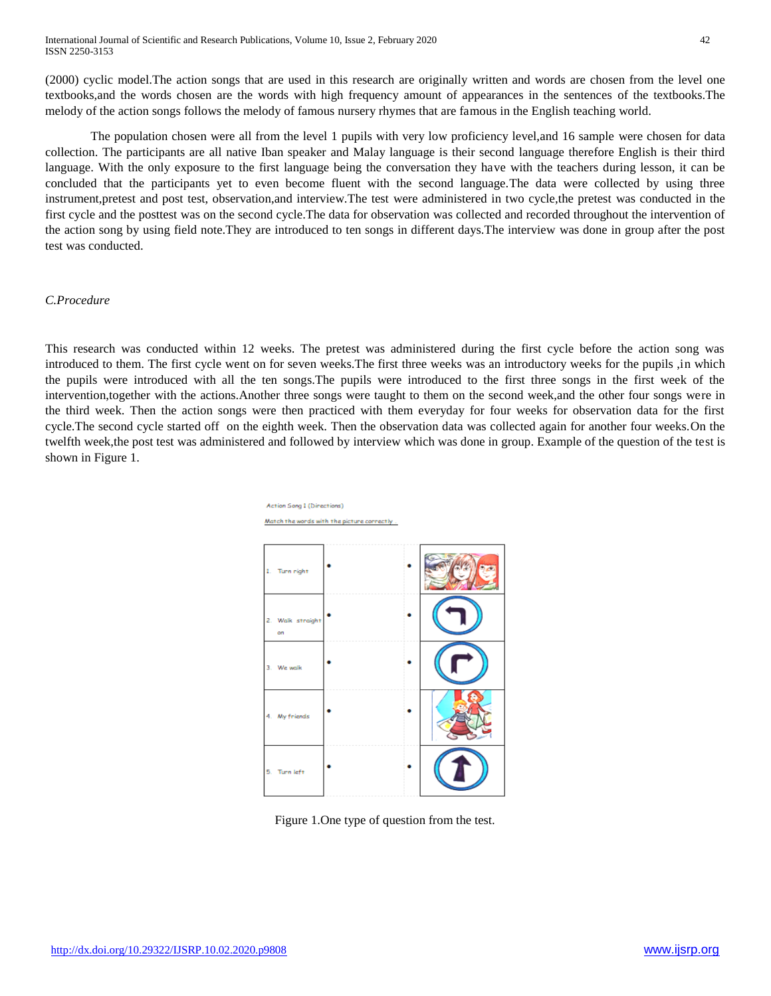(2000) cyclic model.The action songs that are used in this research are originally written and words are chosen from the level one textbooks,and the words chosen are the words with high frequency amount of appearances in the sentences of the textbooks.The melody of the action songs follows the melody of famous nursery rhymes that are famous in the English teaching world.

The population chosen were all from the level 1 pupils with very low proficiency level,and 16 sample were chosen for data collection. The participants are all native Iban speaker and Malay language is their second language therefore English is their third language. With the only exposure to the first language being the conversation they have with the teachers during lesson, it can be concluded that the participants yet to even become fluent with the second language.The data were collected by using three instrument,pretest and post test, observation,and interview.The test were administered in two cycle,the pretest was conducted in the first cycle and the posttest was on the second cycle.The data for observation was collected and recorded throughout the intervention of the action song by using field note.They are introduced to ten songs in different days.The interview was done in group after the post test was conducted.

## *C.Procedure*

This research was conducted within 12 weeks. The pretest was administered during the first cycle before the action song was introduced to them. The first cycle went on for seven weeks.The first three weeks was an introductory weeks for the pupils ,in which the pupils were introduced with all the ten songs.The pupils were introduced to the first three songs in the first week of the intervention,together with the actions.Another three songs were taught to them on the second week,and the other four songs were in the third week. Then the action songs were then practiced with them everyday for four weeks for observation data for the first cycle.The second cycle started off on the eighth week. Then the observation data was collected again for another four weeks.On the twelfth week,the post test was administered and followed by interview which was done in group. Example of the question of the test is shown in Figure 1.



Figure 1.One type of question from the test.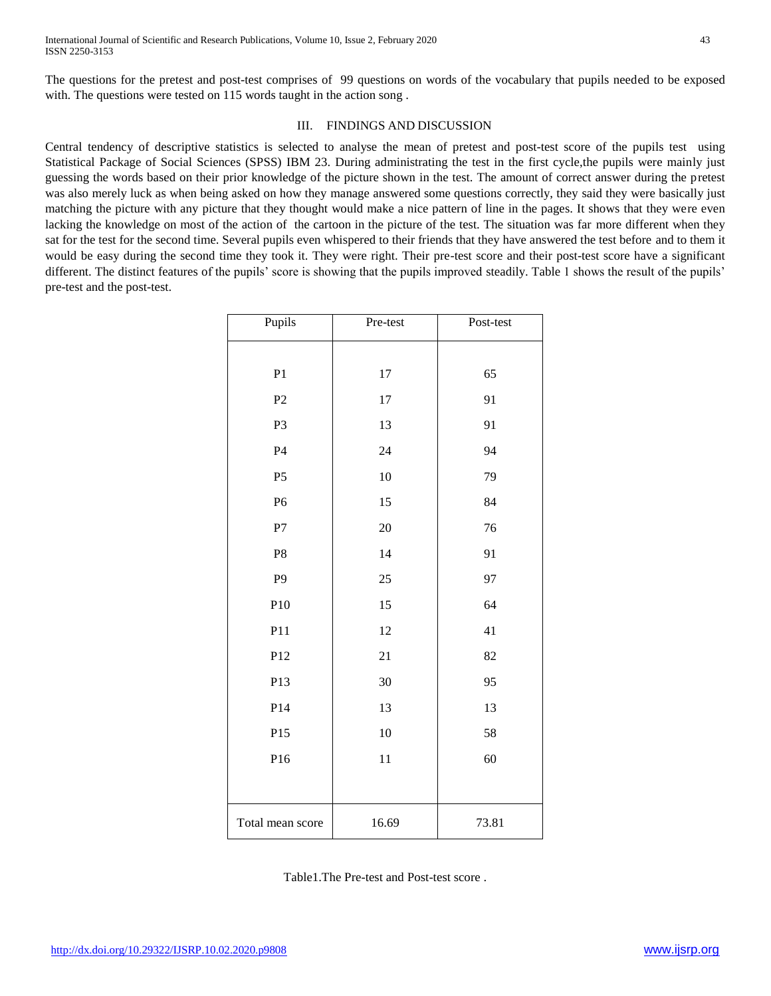The questions for the pretest and post-test comprises of 99 questions on words of the vocabulary that pupils needed to be exposed with. The questions were tested on 115 words taught in the action song.

# III. FINDINGS AND DISCUSSION

Central tendency of descriptive statistics is selected to analyse the mean of pretest and post-test score of the pupils test using Statistical Package of Social Sciences (SPSS) IBM 23. During administrating the test in the first cycle,the pupils were mainly just guessing the words based on their prior knowledge of the picture shown in the test. The amount of correct answer during the pretest was also merely luck as when being asked on how they manage answered some questions correctly, they said they were basically just matching the picture with any picture that they thought would make a nice pattern of line in the pages. It shows that they were even lacking the knowledge on most of the action of the cartoon in the picture of the test. The situation was far more different when they sat for the test for the second time. Several pupils even whispered to their friends that they have answered the test before and to them it would be easy during the second time they took it. They were right. Their pre-test score and their post-test score have a significant different. The distinct features of the pupils' score is showing that the pupils improved steadily. Table 1 shows the result of the pupils' pre-test and the post-test.

| Pupils           | Pre-test | Post-test |
|------------------|----------|-----------|
|                  |          |           |
| P <sub>1</sub>   | 17       | 65        |
| P <sub>2</sub>   | 17       | 91        |
| P <sub>3</sub>   | 13       | 91        |
| P <sub>4</sub>   | 24       | 94        |
| P <sub>5</sub>   | 10       | 79        |
| P <sub>6</sub>   | 15       | 84        |
| ${\bf P}7$       | 20       | 76        |
| P <sub>8</sub>   | 14       | 91        |
| P <sub>9</sub>   | 25       | 97        |
| P10              | 15       | 64        |
| P11              | 12       | 41        |
| P12              | 21       | 82        |
| P13              | 30       | 95        |
| P14              | 13       | 13        |
| P15              | 10       | 58        |
| P16              | 11       | 60        |
|                  |          |           |
| Total mean score | 16.69    | 73.81     |

Table1.The Pre-test and Post-test score .